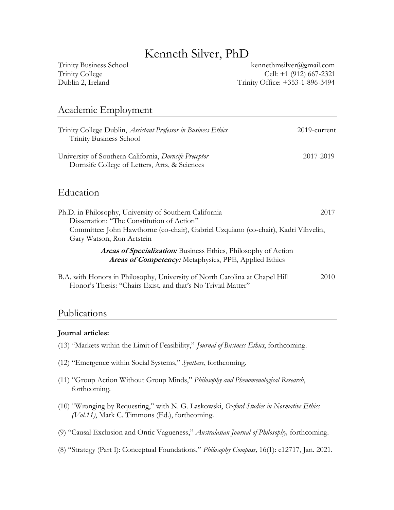## Kenneth Silver, PhD

Trinity Business School [kennethmsilver@gmail.com](mailto:kennethmsilver@gmail.com) Trinity College Cell: +1 (912) 667-2321 Dublin 2, Ireland Trinity Office: +353-1-896-3494

#### Academic Employment

| Trinity College Dublin, <i>Assistant Professor in Business Ethics</i><br><b>Trinity Business School</b> | $2019$ -current |
|---------------------------------------------------------------------------------------------------------|-----------------|
| University of Southern California, Dornsife Preceptor<br>Dornsife College of Letters, Arts, & Sciences  | 2017-2019       |

### Education

| Ph.D. in Philosophy, University of Southern California                                                          | 2017 |
|-----------------------------------------------------------------------------------------------------------------|------|
| Dissertation: "The Constitution of Action"                                                                      |      |
| Committee: John Hawthorne (co-chair), Gabriel Uzquiano (co-chair), Kadri Vihvelin,<br>Gary Watson, Ron Artstein |      |
| Areas of Specialization: Business Ethics, Philosophy of Action                                                  |      |
| <b>Areas of Competency:</b> Metaphysics, PPE, Applied Ethics                                                    |      |

B.A. with Honors in Philosophy, University of North Carolina at Chapel Hill 2010 Honor's Thesis: "Chairs Exist, and that's No Trivial Matter"

#### Publications

#### **Journal articles:**

- (13) "Markets within the Limit of Feasibility," *Journal of Business Ethics*, forthcoming.
- (12) "Emergence within Social Systems," *Synthese*, forthcoming.
- (11) "Group Action Without Group Minds," *Philosophy and Phenomenological Research*, forthcoming.
- (10) "Wronging by Requesting," with N. G. Laskowski, *Oxford Studies in Normative Ethics (Vol.11)*, Mark C. Timmons (Ed.), forthcoming.
- (9) "Causal Exclusion and Ontic Vagueness," *Australasian Journal of Philosophy,* forthcoming.
- (8) "Strategy (Part I): Conceptual Foundations," *Philosophy Compass,* 16(1): e12717, Jan. 2021.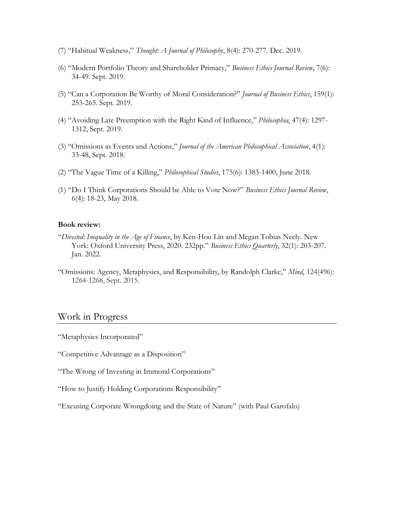- (7) "Habitual Weakness," *Thought: A Journal of Philosophy*, 8(4): 270-277. Dec. 2019.
- (6) "Modern Portfolio Theory and Shareholder Primacy," *Business Ethics Journal Review*, 7(6): 34-49. Sept. 2019.
- (5) "Can a Corporation Be Worthy of Moral Consideration?" *Journal of Business Ethics*, 159(1): 253-265. Sept. 2019.
- (4) "Avoiding Late Preemption with the Right Kind of Influence," *Philosophia*, 47(4): 1297- 1312, Sept. 2019.
- (3) "Omissions as Events and Actions," *Journal of the American Philosophical Association*, 4(1): 33-48, Sept. 2018.
- (2) "The Vague Time of a Killing," *Philosophical Studies*, 175(6): 1383-1400, June 2018.
- (1) "Do I Think Corporations Should be Able to Vote Now?" *Business Ethics Journal Review*, 6(4): 18-23, May 2018.

#### **Book review:**

- "*Divested: Inequality in the Age of Finance*, by Ken-Hou Lin and Megan Tobias Neely. New York: Oxford University Press, 2020. 232pp." *Business Ethics Quarterly*, 32(1): 203-207. Jan. 2022.
- "Omissions: Agency, Metaphysics, and Responsibility, by Randolph Clarke," *Mind*, 124(496): 1264-1268, Sept. 2015.

#### Work in Progress

- "Metaphysics Incorporated"
- "Competitive Advantage as a Disposition"
- "The Wrong of Investing in Immoral Corporations"
- "How to Justify Holding Corporations Responsibility"
- "Excusing Corporate Wrongdoing and the State of Nature" (with Paul Garofalo)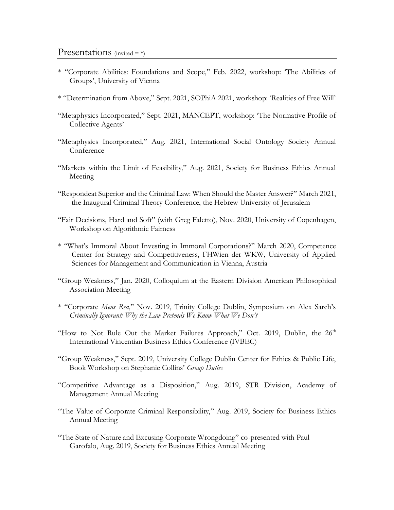- \* "Corporate Abilities: Foundations and Scope," Feb. 2022, workshop: 'The Abilities of Groups', University of Vienna
- \* "Determination from Above," Sept. 2021, SOPhiA 2021, workshop: 'Realities of Free Will'
- "Metaphysics Incorporated," Sept. 2021, MANCEPT, workshop: 'The Normative Profile of Collective Agents'
- "Metaphysics Incorporated," Aug. 2021, International Social Ontology Society Annual Conference
- "Markets within the Limit of Feasibility," Aug. 2021, Society for Business Ethics Annual Meeting
- "Respondeat Superior and the Criminal Law: When Should the Master Answer?" March 2021, the Inaugural Criminal Theory Conference, the Hebrew University of Jerusalem
- "Fair Decisions, Hard and Soft" (with Greg Faletto), Nov. 2020, University of Copenhagen, Workshop on Algorithmic Fairness
- \* "What's Immoral About Investing in Immoral Corporations?" March 2020, Competence Center for Strategy and Competitiveness, FHWien der WKW, University of Applied Sciences for Management and Communication in Vienna, Austria
- "Group Weakness," Jan. 2020, Colloquium at the Eastern Division American Philosophical Association Meeting
- \* "Corporate *Mens Rea*," Nov. 2019, Trinity College Dublin, Symposium on Alex Sarch's *Criminally Ignorant: Why the Law Pretends We Know What We Don't*
- "How to Not Rule Out the Market Failures Approach," Oct. 2019, Dublin, the  $26<sup>th</sup>$ International Vincentian Business Ethics Conference (IVBEC)
- "Group Weakness," Sept. 2019, University College Dublin Center for Ethics & Public Life, Book Workshop on Stephanie Collins' *Group Duties*
- "Competitive Advantage as a Disposition," Aug. 2019, STR Division, Academy of Management Annual Meeting
- "The Value of Corporate Criminal Responsibility," Aug. 2019, Society for Business Ethics Annual Meeting
- "The State of Nature and Excusing Corporate Wrongdoing" co-presented with Paul Garofalo, Aug. 2019, Society for Business Ethics Annual Meeting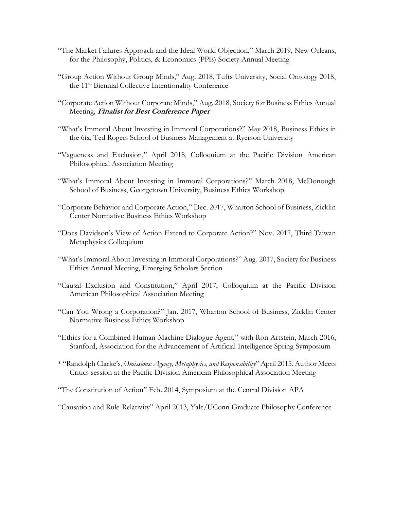- "The Market Failures Approach and the Ideal World Objection," March 2019, New Orleans, for the Philosophy, Politics, & Economics (PPE) Society Annual Meeting
- "Group Action Without Group Minds," Aug. 2018, Tufts University, Social Ontology 2018, the 11<sup>th</sup> Biennial Collective Intentionality Conference
- "Corporate Action Without Corporate Minds," Aug. 2018, Society for Business Ethics Annual Meeting, **Finalist for Best Conference Paper**
- "What's Immoral About Investing in Immoral Corporations?" May 2018, Business Ethics in the 6ix, Ted Rogers School of Business Management at Ryerson University
- "Vagueness and Exclusion," April 2018, Colloquium at the Pacific Division American Philosophical Association Meeting
- "What's Immoral About Investing in Immoral Corporations?" March 2018, McDonough School of Business, Georgetown University, Business Ethics Workshop
- "Corporate Behavior and Corporate Action," Dec. 2017, Wharton School of Business, Zicklin Center Normative Business Ethics Workshop
- "Does Davidson's View of Action Extend to Corporate Action?" Nov. 2017, Third Taiwan Metaphysics Colloquium
- "What's Immoral About Investing in Immoral Corporations?" Aug. 2017, Society for Business Ethics Annual Meeting, Emerging Scholars Section
- "Causal Exclusion and Constitution," April 2017, Colloquium at the Pacific Division American Philosophical Association Meeting
- "Can You Wrong a Corporation?" Jan. 2017, Wharton School of Business, Zicklin Center Normative Business Ethics Workshop
- "Ethics for a Combined Human-Machine Dialogue Agent," with Ron Artstein, March 2016, Stanford, Association for the Advancement of Artificial Intelligence Spring Symposium
- \* "Randolph Clarke's, *Omissions: Agency, Metaphysics, and Responsibility*" April 2015, Author Meets Critics session at the Pacific Division American Philosophical Association Meeting
- "The Constitution of Action" Feb. 2014, Symposium at the Central Division APA

"Causation and Rule-Relativity" April 2013, Yale/UConn Graduate Philosophy Conference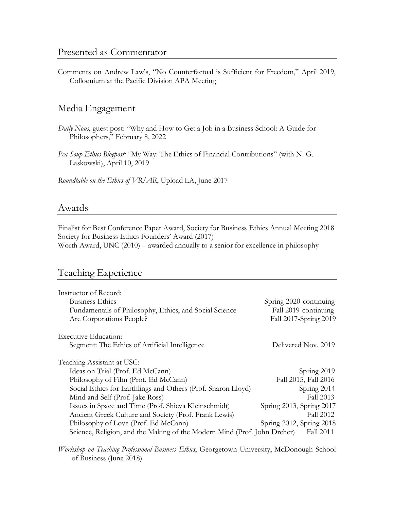Comments on Andrew Law's, "No Counterfactual is Sufficient for Freedom," April 2019, Colloquium at the Pacific Division APA Meeting

#### Media Engagement

- *Daily Nous*, guest post: "Why and How to Get a Job in a Business School: A Guide for Philosophers," February 8, 2022
- *Pea Soup Ethics Blogpost:* "My Way: The Ethics of Financial Contributions" (with N. G. Laskowski), April 10, 2019

*Roundtable on the Ethics of VR/AR*, Upload LA, June 2017

#### Awards

Finalist for Best Conference Paper Award, Society for Business Ethics Annual Meeting 2018 Society for Business Ethics Founders' Award (2017) Worth Award, UNC (2010) – awarded annually to a senior for excellence in philosophy

#### Teaching Experience

| Instructor of Record:                                                    |                          |
|--------------------------------------------------------------------------|--------------------------|
| <b>Business Ethics</b>                                                   | Spring 2020-continuing   |
| Fundamentals of Philosophy, Ethics, and Social Science                   | Fall 2019-continuing     |
| Are Corporations People?                                                 | Fall 2017-Spring 2019    |
| <b>Executive Education:</b>                                              |                          |
| Segment: The Ethics of Artificial Intelligence                           | Delivered Nov. 2019      |
| Teaching Assistant at USC:                                               |                          |
| Ideas on Trial (Prof. Ed McCann)                                         | Spring 2019              |
| Philosophy of Film (Prof. Ed McCann)                                     | Fall 2015, Fall 2016     |
| Social Ethics for Earthlings and Others (Prof. Sharon Lloyd)             | Spring 2014              |
| Mind and Self (Prof. Jake Ross)                                          | Fall 2013                |
| Issues in Space and Time (Prof. Shieva Kleinschmidt)                     | Spring 2013, Spring 2017 |
| Ancient Greek Culture and Society (Prof. Frank Lewis)                    | Fall 2012                |
| Philosophy of Love (Prof. Ed McCann)                                     | Spring 2012, Spring 2018 |
| Science, Religion, and the Making of the Modern Mind (Prof. John Dreher) | Fall 2011                |

*Workshop on Teaching Professional Business Ethics*, Georgetown University, McDonough School of Business (June 2018)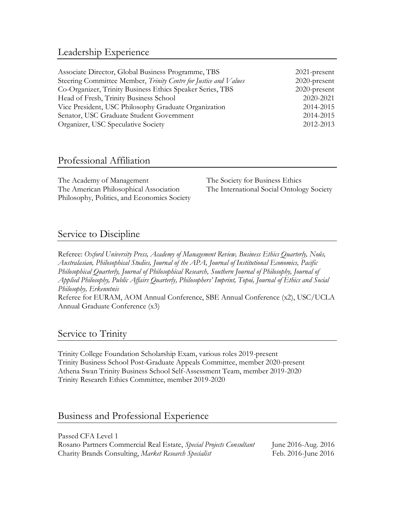## Leadership Experience

| $2021$ -present |
|-----------------|
| $2020$ -present |
| 2020-present    |
| 2020-2021       |
| 2014-2015       |
| 2014-2015       |
| 2012-2013       |
|                 |

## Professional Affiliation

The Academy of Management The Society for Business Ethics The American Philosophical Association The International Social Ontology Society Philosophy, Politics, and Economics Society

## Service to Discipline

Referee: *Oxford University Press, Academy of Management Review, Business Ethics Quarterly, Noûs, Australasian, Philosophical Studies, Journal of the APA, Journal of Institutional Economics, Pacific Philosophical Quarterly, Journal of Philosophical Research, Southern Journal of Philosophy, Journal of Applied Philosophy, Public Affairs Quarterly, Philosophers' Imprint, Topoi, Journal of Ethics and Social Philosophy, Erkenntnis*

Referee for EURAM, AOM Annual Conference, SBE Annual Conference (x2), USC/UCLA Annual Graduate Conference (x3)

#### Service to Trinity

Trinity College Foundation Scholarship Exam, various roles 2019-present Trinity Business School Post-Graduate Appeals Committee, member 2020-present Athena Swan Trinity Business School Self-Assessment Team, member 2019-2020 Trinity Research Ethics Committee, member 2019-2020

#### Business and Professional Experience

Passed CFA Level 1 Rosano Partners Commercial Real Estate, *Special Projects Consultant* June 2016-Aug. 2016 Charity Brands Consulting, *Market Research Specialist* Feb. 2016-June 2016